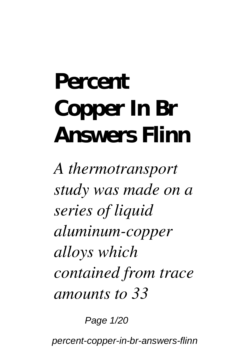## **Percent Copper In Br Answers Flinn**

*A thermotransport study was made on a series of liquid aluminum-copper alloys which contained from trace amounts to 33*

Page 1/20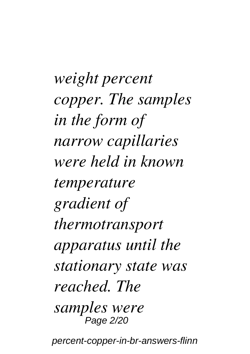*weight percent copper. The samples in the form of narrow capillaries were held in known temperature gradient of thermotransport apparatus until the stationary state was reached. The samples were* Page 2/20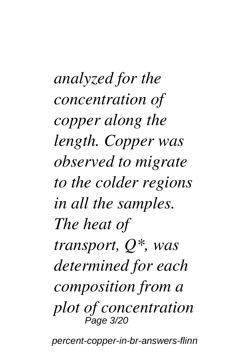*analyzed for the concentration of copper along the length. Copper was observed to migrate to the colder regions in all the samples. The heat of transport, Q\*, was determined for each composition from a plot of concentration* Page 3/20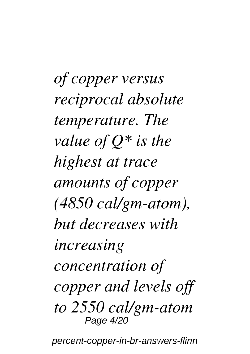*of copper versus reciprocal absolute temperature. The value of Q\* is the highest at trace amounts of copper (4850 cal/gm-atom), but decreases with increasing concentration of copper and levels off to 2550 cal/gm-atom* Page 4/20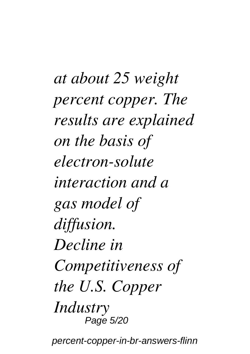*at about 25 weight percent copper. The results are explained on the basis of electron-solute interaction and a gas model of diffusion. Decline in Competitiveness of the U.S. Copper Industry* Page 5/20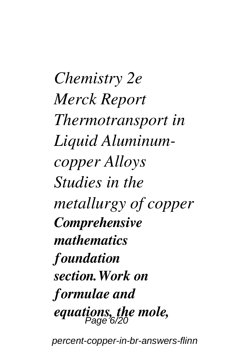*Chemistry 2e Merck Report Thermotransport in Liquid Aluminumcopper Alloys Studies in the metallurgy of copper Comprehensive mathematics foundation section.Work on formulae and equations, the mole,* Page 6/20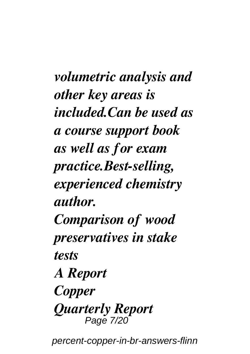*volumetric analysis and other key areas is included.Can be used as a course support book as well as for exam practice.Best-selling, experienced chemistry author. Comparison of wood preservatives in stake tests A Report Copper Quarterly Report* Page 7/20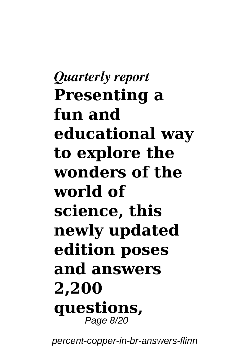*Quarterly report* **Presenting a fun and educational way to explore the wonders of the world of science, this newly updated edition poses and answers 2,200 questions,** Page 8/20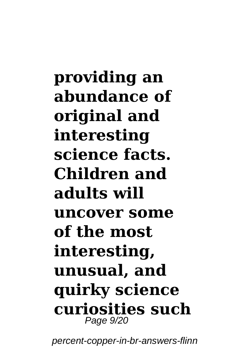**providing an abundance of original and interesting science facts. Children and adults will uncover some of the most interesting, unusual, and quirky science curiosities such** Page 9/20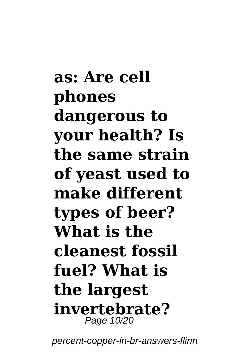**as: Are cell phones dangerous to your health? Is the same strain of yeast used to make different types of beer? What is the cleanest fossil fuel? What is the largest invertebrate?** Page 10/20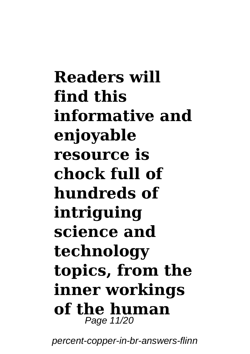**Readers will find this informative and enjoyable resource is chock full of hundreds of intriguing science and technology topics, from the inner workings of the human** Page 11/20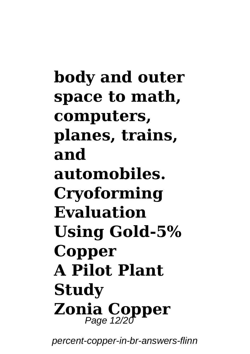**body and outer space to math, computers, planes, trains, and automobiles. Cryoforming Evaluation Using Gold-5% Copper A Pilot Plant Study Zonia Copper** Page 12/20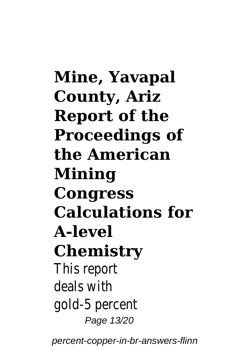**Mine, Yavapal County, Ariz Report of the Proceedings of the American Mining Congress Calculations for A-level Chemistry** This report deals with gold-5 percent Page 13/20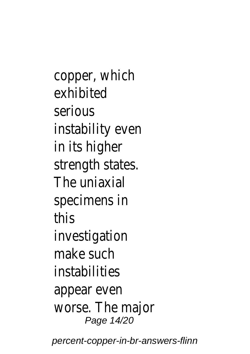copper, which exhibited serious instability even in its higher strength states. The uniaxial specimens in this investigation make such instabilities appear even worse. The major Page 14/20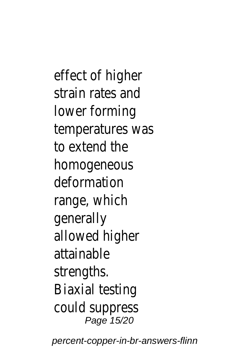effect of higher strain rates and lower forming temperatures was to extend the homogeneous deformation range, which generally allowed higher attainable strengths. Biaxial testing could suppress Page 15/20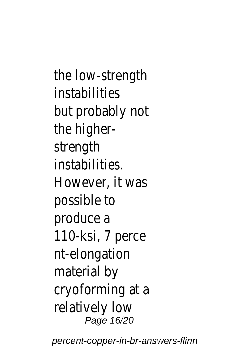the low-strength instabilities but probably not the higherstrength instabilities. However, it was possible to produce a 110-ksi, 7 perce nt-elongation material by cryoforming at a relatively low Page 16/20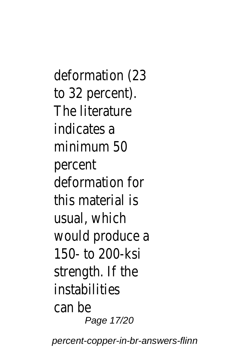deformation (23 to 32 percent). The literature indicates a minimum 50 percent deformation for this material is usual, which would produce a 150- to 200-ksi strength. If the instabilities can be Page 17/20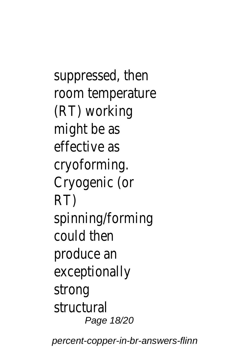suppressed, then room temperature (RT) working might be as effective as cryoforming. Cryogenic (or RT) spinning/forming could then produce an exceptionally strong structural Page 18/20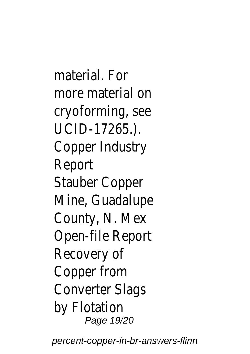material. For more material on cryoforming, see UCID-17265.). Copper Industry Report Stauber Copper Mine, Guadalupe County, N. Mex Open-file Report Recovery of Copper from Converter Slags by Flotation Page 19/20